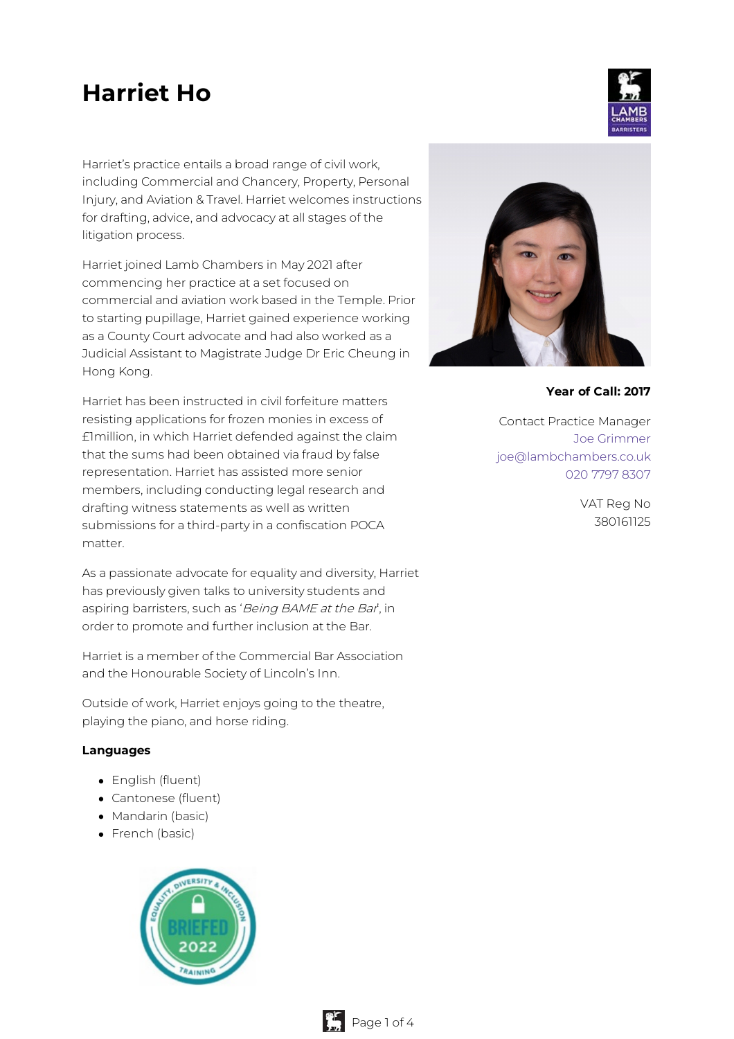# **Harriet Ho**

Harriet's practice entails a broad range of civil work, including Commercial and Chancery, Property, Personal Injury, and Aviation & Travel. Harriet welcomes instructions for drafting, advice, and advocacy at all stages of the litigation process.

Harriet joined Lamb Chambers in May 2021 after commencing her practice at a set focused on commercial and aviation work based in the Temple. Prior to starting pupillage, Harriet gained experience working as a County Court advocate and had also worked as a Judicial Assistant to Magistrate Judge Dr Eric Cheung in Hong Kong.

Harriet has been instructed in civil forfeiture matters resisting applications for frozen monies in excess of £1million, in which Harriet defended against the claim that the sums had been obtained via fraud by false representation. Harriet has assisted more senior members, including conducting legal research and drafting witness statements as well as written submissions for a third-party in a confiscation POCA matter.

As a passionate advocate for equality and diversity, Harriet has previously given talks to university students and aspiring barristers, such as 'Being BAME at the Bar', in order to promote and further inclusion at the Bar.

Harriet is a member of the Commercial Bar Association and the Honourable Society of Lincoln's Inn.

Outside of work, Harriet enjoys going to the theatre, playing the piano, and horse riding.

#### **Languages**

- English (fluent)
- Cantonese (fluent)
- Mandarin (basic)
- French (basic)





**Year of Call: 2017**

Contact Practice Manager Joe [Grimmer](mailto:joe@lambchambers.co.uk) [joe@lambchambers.co.uk](mailto:joe@lambchambers.co.uk) 020 7797 [8307](tel:020%207797%208307)

> VAT Reg No 380161125

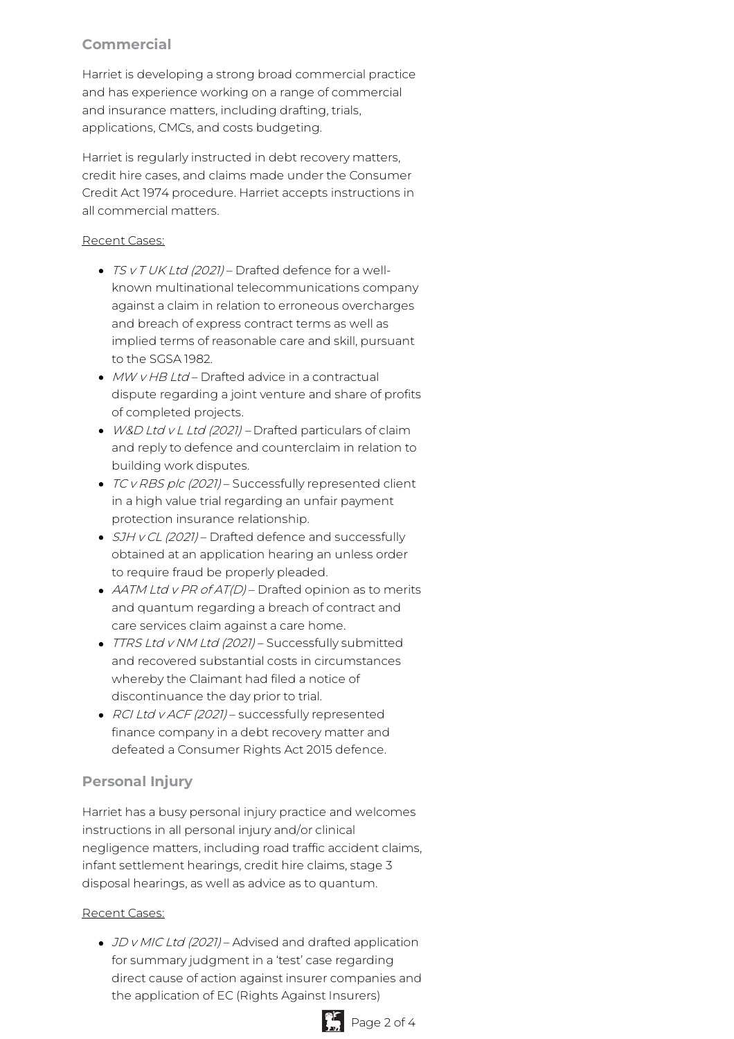# **Commercial**

Harriet is developing a strong broad commercial practice and has experience working on a range of commercial and insurance matters, including drafting, trials, applications, CMCs, and costs budgeting.

Harriet is regularly instructed in debt recovery matters, credit hire cases, and claims made under the Consumer Credit Act 1974 procedure. Harriet accepts instructions in all commercial matters.

## Recent Cases:

- TS v T UK Ltd (2021) Drafted defence for a wellknown multinational telecommunications company against a claim in relation to erroneous overcharges and breach of express contract terms as well as implied terms of reasonable care and skill, pursuant to the SGSA 1982.
- $\bullet$  MW v HB Ltd Drafted advice in a contractual dispute regarding a joint venture and share of profits of completed projects.
- W&D Ltd v L Ltd (2021) Drafted particulars of claim and reply to defence and counterclaim in relation to building work disputes.
- TC v RBS plc (2021) Successfully represented client in a high value trial regarding an unfair payment protection insurance relationship.
- SJH v CL (2021) Drafted defence and successfully obtained at an application hearing an unless order to require fraud be properly pleaded.
- AATM Ltd v PR of AT(D) Drafted opinion as to merits and quantum regarding a breach of contract and care services claim against a care home.
- TTRS Ltd v NM Ltd (2021) Successfully submitted and recovered substantial costs in circumstances whereby the Claimant had filed a notice of discontinuance the day prior to trial.
- RCI Ltd v ACF (2021) successfully represented finance company in a debt recovery matter and defeated a Consumer Rights Act 2015 defence.

# **Personal Injury**

Harriet has a busy personal injury practice and welcomes instructions in all personal injury and/or clinical negligence matters, including road traffic accident claims, infant settlement hearings, credit hire claims, stage 3 disposal hearings, as well as advice as to quantum.

## Recent Cases:

• JD v MIC Ltd (2021) – Advised and drafted application for summary judgment in a 'test' case regarding direct cause of action against insurer companies and the application of EC (Rights Against Insurers)

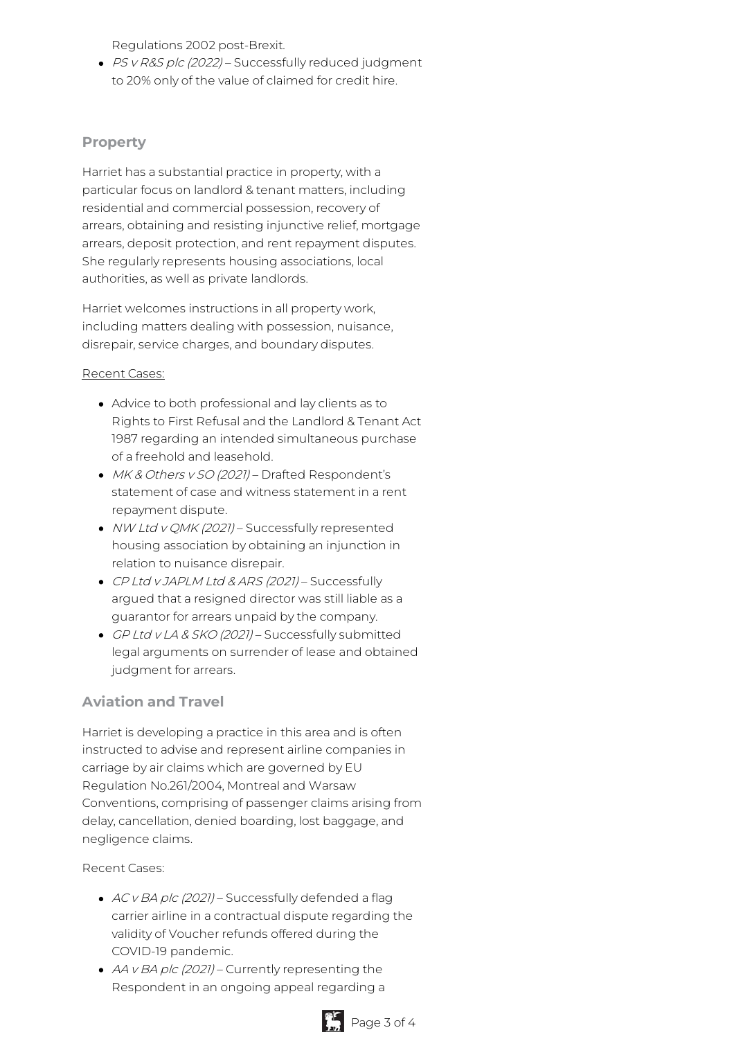Regulations 2002 post-Brexit.

• PS v R&S plc (2022) – Successfully reduced judgment to 20% only of the value of claimed for credit hire.

## **Property**

Harriet has a substantial practice in property, with a particular focus on landlord & tenant matters, including residential and commercial possession, recovery of arrears, obtaining and resisting injunctive relief, mortgage arrears, deposit protection, and rent repayment disputes. She regularly represents housing associations, local authorities, as well as private landlords.

Harriet welcomes instructions in all property work, including matters dealing with possession, nuisance, disrepair, service charges, and boundary disputes.

#### Recent Cases:

- Advice to both professional and lay clients as to Rights to First Refusal and the Landlord & Tenant Act 1987 regarding an intended simultaneous purchase of a freehold and leasehold.
- MK & Others v SO (2021) Drafted Respondent's statement of case and witness statement in a rent repayment dispute.
- NW Ltd v QMK (2021) Successfully represented housing association by obtaining an injunction in relation to nuisance disrepair.
- CP Ltd v JAPLM Ltd & ARS (2021) Successfully argued that a resigned director was still liable as a guarantor for arrears unpaid by the company.
- GP Ltd v LA & SKO (2021) Successfully submitted legal arguments on surrender of lease and obtained judgment for arrears.

# **Aviation and Travel**

Harriet is developing a practice in this area and is often instructed to advise and represent airline companies in carriage by air claims which are governed by EU Regulation No.261/2004, Montreal and Warsaw Conventions, comprising of passenger claims arising from delay, cancellation, denied boarding, lost baggage, and negligence claims.

## Recent Cases:

- AC v BA plc (2021) Successfully defended a flag carrier airline in a contractual dispute regarding the validity of Voucher refunds offered during the COVID-19 pandemic.
- $\bullet$  AA v BA plc (2021) Currently representing the Respondent in an ongoing appeal regarding a